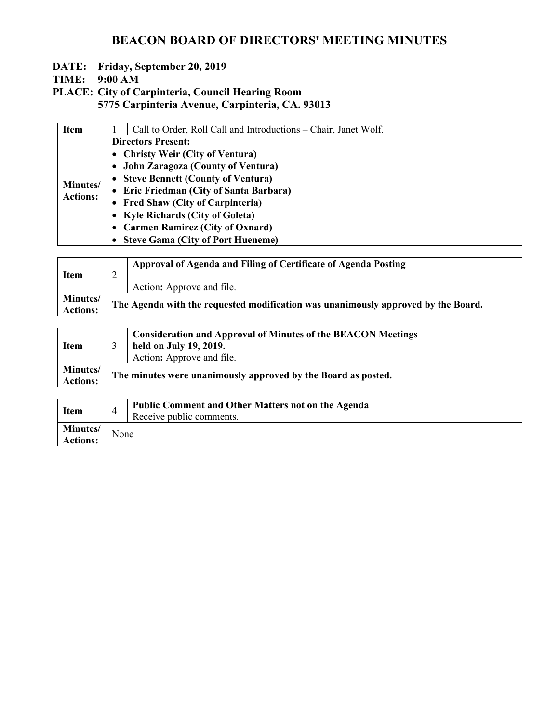- **DATE: Friday, September 20, 2019**
- **TIME: 9:00 AM**
- **PLACE: City of Carpinteria, Council Hearing Room 5775 Carpinteria Avenue, Carpinteria, CA. 93013**

| <b>Item</b>                 | Call to Order, Roll Call and Introductions – Chair, Janet Wolf. |
|-----------------------------|-----------------------------------------------------------------|
| Minutes/<br><b>Actions:</b> | <b>Directors Present:</b>                                       |
|                             | • Christy Weir (City of Ventura)                                |
|                             | • John Zaragoza (County of Ventura)                             |
|                             | • Steve Bennett (County of Ventura)                             |
|                             | • Eric Friedman (City of Santa Barbara)                         |
|                             | • Fred Shaw (City of Carpinteria)                               |
|                             | • Kyle Richards (City of Goleta)                                |
|                             | • Carmen Ramirez (City of Oxnard)                               |
|                             | • Steve Gama (City of Port Hueneme)                             |

| <b>Item</b>                        | ∼                                                                                 | Approval of Agenda and Filing of Certificate of Agenda Posting<br>Action: Approve and file. |
|------------------------------------|-----------------------------------------------------------------------------------|---------------------------------------------------------------------------------------------|
| <b>Minutes/</b><br><b>Actions:</b> | The Agenda with the requested modification was unanimously approved by the Board. |                                                                                             |

| <b>Item</b>            |                                                               | <b>Consideration and Approval of Minutes of the BEACON Meetings</b><br>held on July 19, 2019.<br>Action: Approve and file. |
|------------------------|---------------------------------------------------------------|----------------------------------------------------------------------------------------------------------------------------|
| Minutes/<br>  Actions: | The minutes were unanimously approved by the Board as posted. |                                                                                                                            |

| <b>Item</b>                 |      | <b>Public Comment and Other Matters not on the Agenda</b><br>Receive public comments. |
|-----------------------------|------|---------------------------------------------------------------------------------------|
| Minutes/<br><b>Actions:</b> | None |                                                                                       |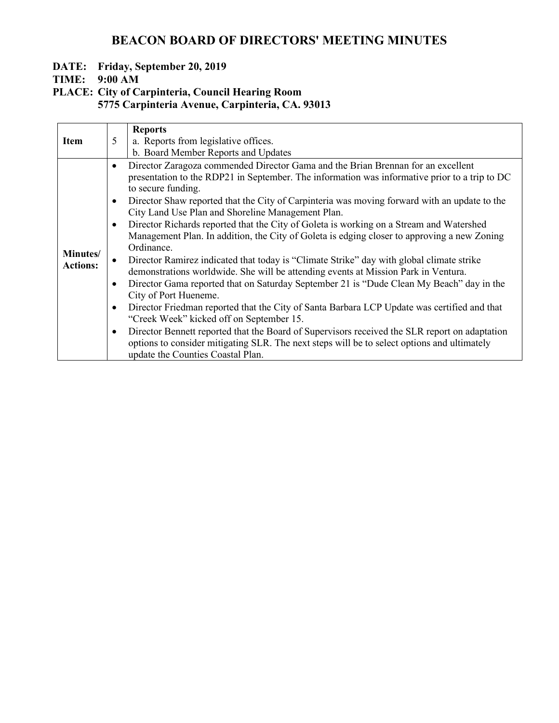## **DATE: Friday, September 20, 2019**

## **TIME: 9:00 AM**

### **PLACE: City of Carpinteria, Council Hearing Room 5775 Carpinteria Avenue, Carpinteria, CA. 93013**

|                             |                                                                                         | <b>Reports</b>                                                                                                                                                                                                                                                                                                                                                                                                                                                                                                                                                                                                                                                                                                                                                                                                                                                                                                                                                                                                                                                                                                                                                                                                                                              |
|-----------------------------|-----------------------------------------------------------------------------------------|-------------------------------------------------------------------------------------------------------------------------------------------------------------------------------------------------------------------------------------------------------------------------------------------------------------------------------------------------------------------------------------------------------------------------------------------------------------------------------------------------------------------------------------------------------------------------------------------------------------------------------------------------------------------------------------------------------------------------------------------------------------------------------------------------------------------------------------------------------------------------------------------------------------------------------------------------------------------------------------------------------------------------------------------------------------------------------------------------------------------------------------------------------------------------------------------------------------------------------------------------------------|
| <b>Item</b>                 | 5                                                                                       | a. Reports from legislative offices.                                                                                                                                                                                                                                                                                                                                                                                                                                                                                                                                                                                                                                                                                                                                                                                                                                                                                                                                                                                                                                                                                                                                                                                                                        |
|                             |                                                                                         | b. Board Member Reports and Updates                                                                                                                                                                                                                                                                                                                                                                                                                                                                                                                                                                                                                                                                                                                                                                                                                                                                                                                                                                                                                                                                                                                                                                                                                         |
| Minutes/<br><b>Actions:</b> | $\bullet$<br>$\bullet$<br>$\bullet$<br>$\bullet$<br>$\bullet$<br>$\bullet$<br>$\bullet$ | Director Zaragoza commended Director Gama and the Brian Brennan for an excellent<br>presentation to the RDP21 in September. The information was informative prior to a trip to DC<br>to secure funding.<br>Director Shaw reported that the City of Carpinteria was moving forward with an update to the<br>City Land Use Plan and Shoreline Management Plan.<br>Director Richards reported that the City of Goleta is working on a Stream and Watershed<br>Management Plan. In addition, the City of Goleta is edging closer to approving a new Zoning<br>Ordinance.<br>Director Ramirez indicated that today is "Climate Strike" day with global climate strike<br>demonstrations worldwide. She will be attending events at Mission Park in Ventura.<br>Director Gama reported that on Saturday September 21 is "Dude Clean My Beach" day in the<br>City of Port Hueneme.<br>Director Friedman reported that the City of Santa Barbara LCP Update was certified and that<br>"Creek Week" kicked off on September 15.<br>Director Bennett reported that the Board of Supervisors received the SLR report on adaptation<br>options to consider mitigating SLR. The next steps will be to select options and ultimately<br>update the Counties Coastal Plan. |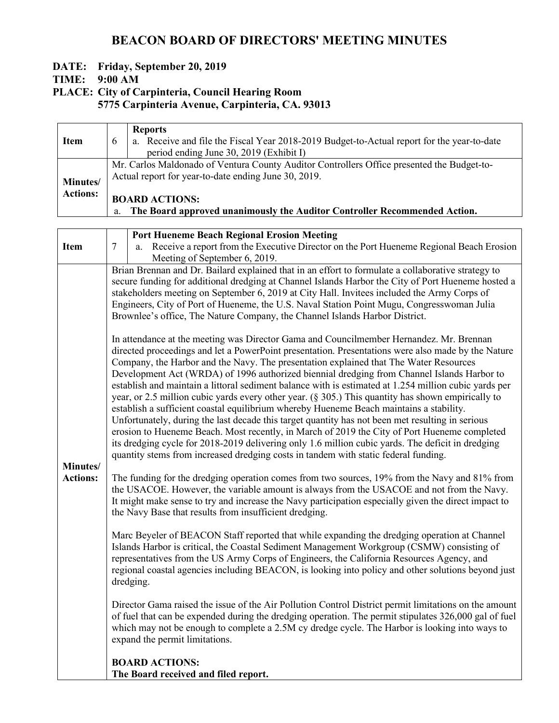### **DATE: Friday, September 20, 2019**

#### **TIME: 9:00 AM**

# **PLACE: City of Carpinteria, Council Hearing Room**

**5775 Carpinteria Avenue, Carpinteria, CA. 93013**

| <b>Item</b>                 | $\mathfrak b$ | <b>Reports</b><br>a. Receive and file the Fiscal Year 2018-2019 Budget-to-Actual report for the year-to-date<br>period ending June 30, 2019 (Exhibit I) |
|-----------------------------|---------------|---------------------------------------------------------------------------------------------------------------------------------------------------------|
| Minutes/<br><b>Actions:</b> |               | Mr. Carlos Maldonado of Ventura County Auditor Controllers Office presented the Budget-to-<br>Actual report for year-to-date ending June 30, 2019.      |
|                             | a.            | <b>BOARD ACTIONS:</b><br>The Board approved unanimously the Auditor Controller Recommended Action.                                                      |

| <b>Item</b>                 | $\overline{7}$ | <b>Port Hueneme Beach Regional Erosion Meeting</b><br>Receive a report from the Executive Director on the Port Hueneme Regional Beach Erosion<br>a.<br>Meeting of September 6, 2019.                                                                                                                                                                                                                                                                                                                                                                                                                                                                                                                                                                                                                                                                                                                                                                                                                                                                                                                                                                                                                                                                                                                                                                                                                                                                                                                                                                                                                                                                                                                                                                                                                                                                                                                                                                                                                                                                                                                                                                                                                                                                                                                                                                                                                                                                                                                                                                                                                                                                                                                                                                  |
|-----------------------------|----------------|-------------------------------------------------------------------------------------------------------------------------------------------------------------------------------------------------------------------------------------------------------------------------------------------------------------------------------------------------------------------------------------------------------------------------------------------------------------------------------------------------------------------------------------------------------------------------------------------------------------------------------------------------------------------------------------------------------------------------------------------------------------------------------------------------------------------------------------------------------------------------------------------------------------------------------------------------------------------------------------------------------------------------------------------------------------------------------------------------------------------------------------------------------------------------------------------------------------------------------------------------------------------------------------------------------------------------------------------------------------------------------------------------------------------------------------------------------------------------------------------------------------------------------------------------------------------------------------------------------------------------------------------------------------------------------------------------------------------------------------------------------------------------------------------------------------------------------------------------------------------------------------------------------------------------------------------------------------------------------------------------------------------------------------------------------------------------------------------------------------------------------------------------------------------------------------------------------------------------------------------------------------------------------------------------------------------------------------------------------------------------------------------------------------------------------------------------------------------------------------------------------------------------------------------------------------------------------------------------------------------------------------------------------------------------------------------------------------------------------------------------------|
| Minutes/<br><b>Actions:</b> |                | Brian Brennan and Dr. Bailard explained that in an effort to formulate a collaborative strategy to<br>secure funding for additional dredging at Channel Islands Harbor the City of Port Hueneme hosted a<br>stakeholders meeting on September 6, 2019 at City Hall. Invitees included the Army Corps of<br>Engineers, City of Port of Hueneme, the U.S. Naval Station Point Mugu, Congresswoman Julia<br>Brownlee's office, The Nature Company, the Channel Islands Harbor District.<br>In attendance at the meeting was Director Gama and Councilmember Hernandez. Mr. Brennan<br>directed proceedings and let a PowerPoint presentation. Presentations were also made by the Nature<br>Company, the Harbor and the Navy. The presentation explained that The Water Resources<br>Development Act (WRDA) of 1996 authorized biennial dredging from Channel Islands Harbor to<br>establish and maintain a littoral sediment balance with is estimated at 1.254 million cubic yards per<br>year, or 2.5 million cubic yards every other year. $(\S 305)$ This quantity has shown empirically to<br>establish a sufficient coastal equilibrium whereby Hueneme Beach maintains a stability.<br>Unfortunately, during the last decade this target quantity has not been met resulting in serious<br>erosion to Hueneme Beach. Most recently, in March of 2019 the City of Port Hueneme completed<br>its dredging cycle for 2018-2019 delivering only 1.6 million cubic yards. The deficit in dredging<br>quantity stems from increased dredging costs in tandem with static federal funding.<br>The funding for the dredging operation comes from two sources, 19% from the Navy and 81% from<br>the USACOE. However, the variable amount is always from the USACOE and not from the Navy.<br>It might make sense to try and increase the Navy participation especially given the direct impact to<br>the Navy Base that results from insufficient dredging.<br>Marc Beyeler of BEACON Staff reported that while expanding the dredging operation at Channel<br>Islands Harbor is critical, the Coastal Sediment Management Workgroup (CSMW) consisting of<br>representatives from the US Army Corps of Engineers, the California Resources Agency, and<br>regional coastal agencies including BEACON, is looking into policy and other solutions beyond just<br>dredging.<br>Director Gama raised the issue of the Air Pollution Control District permit limitations on the amount<br>of fuel that can be expended during the dredging operation. The permit stipulates 326,000 gal of fuel<br>which may not be enough to complete a 2.5M cy dredge cycle. The Harbor is looking into ways to<br>expand the permit limitations.<br><b>BOARD ACTIONS:</b> |
|                             |                | The Board received and filed report.                                                                                                                                                                                                                                                                                                                                                                                                                                                                                                                                                                                                                                                                                                                                                                                                                                                                                                                                                                                                                                                                                                                                                                                                                                                                                                                                                                                                                                                                                                                                                                                                                                                                                                                                                                                                                                                                                                                                                                                                                                                                                                                                                                                                                                                                                                                                                                                                                                                                                                                                                                                                                                                                                                                  |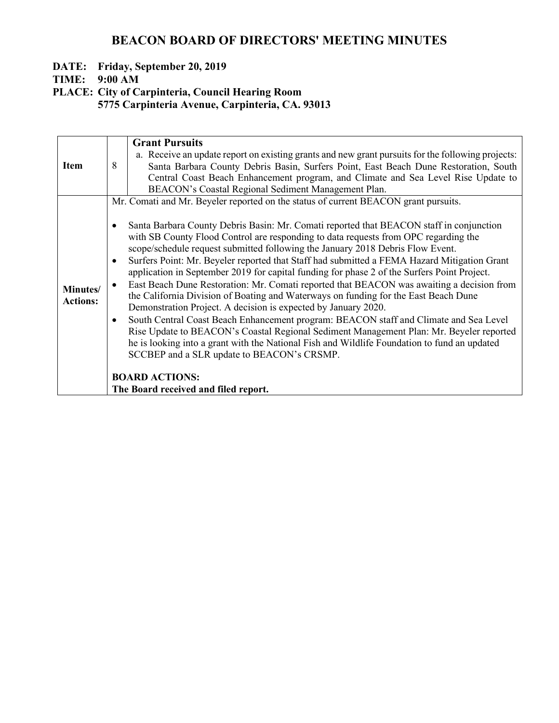### **DATE: Friday, September 20, 2019**

**TIME: 9:00 AM**

**PLACE: City of Carpinteria, Council Hearing Room**

**5775 Carpinteria Avenue, Carpinteria, CA. 93013**

|                             | <b>Grant Pursuits</b>                                                                                                                                                                                                                                                                                                                                                                                                                                                                                                                                                                                                                                                                                                                                                                                                                                                                                                                                                                                                                                                                                                                               |
|-----------------------------|-----------------------------------------------------------------------------------------------------------------------------------------------------------------------------------------------------------------------------------------------------------------------------------------------------------------------------------------------------------------------------------------------------------------------------------------------------------------------------------------------------------------------------------------------------------------------------------------------------------------------------------------------------------------------------------------------------------------------------------------------------------------------------------------------------------------------------------------------------------------------------------------------------------------------------------------------------------------------------------------------------------------------------------------------------------------------------------------------------------------------------------------------------|
| <b>Item</b>                 | a. Receive an update report on existing grants and new grant pursuits for the following projects:<br>8<br>Santa Barbara County Debris Basin, Surfers Point, East Beach Dune Restoration, South                                                                                                                                                                                                                                                                                                                                                                                                                                                                                                                                                                                                                                                                                                                                                                                                                                                                                                                                                      |
|                             | Central Coast Beach Enhancement program, and Climate and Sea Level Rise Update to                                                                                                                                                                                                                                                                                                                                                                                                                                                                                                                                                                                                                                                                                                                                                                                                                                                                                                                                                                                                                                                                   |
|                             | BEACON's Coastal Regional Sediment Management Plan.                                                                                                                                                                                                                                                                                                                                                                                                                                                                                                                                                                                                                                                                                                                                                                                                                                                                                                                                                                                                                                                                                                 |
| Minutes/<br><b>Actions:</b> | Mr. Comati and Mr. Beyeler reported on the status of current BEACON grant pursuits.<br>Santa Barbara County Debris Basin: Mr. Comati reported that BEACON staff in conjunction<br>$\bullet$<br>with SB County Flood Control are responding to data requests from OPC regarding the<br>scope/schedule request submitted following the January 2018 Debris Flow Event.<br>Surfers Point: Mr. Beyeler reported that Staff had submitted a FEMA Hazard Mitigation Grant<br>$\bullet$<br>application in September 2019 for capital funding for phase 2 of the Surfers Point Project.<br>East Beach Dune Restoration: Mr. Comati reported that BEACON was awaiting a decision from<br>$\bullet$<br>the California Division of Boating and Waterways on funding for the East Beach Dune<br>Demonstration Project. A decision is expected by January 2020.<br>South Central Coast Beach Enhancement program: BEACON staff and Climate and Sea Level<br>$\bullet$<br>Rise Update to BEACON's Coastal Regional Sediment Management Plan: Mr. Beyeler reported<br>he is looking into a grant with the National Fish and Wildlife Foundation to fund an updated |
|                             | SCCBEP and a SLR update to BEACON's CRSMP.                                                                                                                                                                                                                                                                                                                                                                                                                                                                                                                                                                                                                                                                                                                                                                                                                                                                                                                                                                                                                                                                                                          |
|                             | <b>BOARD ACTIONS:</b>                                                                                                                                                                                                                                                                                                                                                                                                                                                                                                                                                                                                                                                                                                                                                                                                                                                                                                                                                                                                                                                                                                                               |
|                             | The Board received and filed report.                                                                                                                                                                                                                                                                                                                                                                                                                                                                                                                                                                                                                                                                                                                                                                                                                                                                                                                                                                                                                                                                                                                |